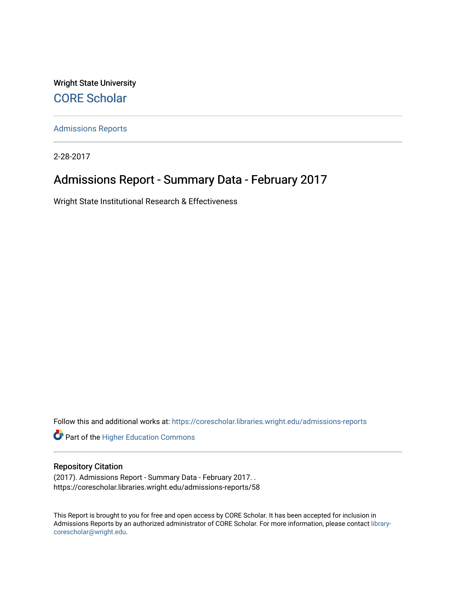Wright State University [CORE Scholar](https://corescholar.libraries.wright.edu/)

[Admissions Reports](https://corescholar.libraries.wright.edu/admissions-reports) 

2-28-2017

# Admissions Report - Summary Data - February 2017

Wright State Institutional Research & Effectiveness

Follow this and additional works at: [https://corescholar.libraries.wright.edu/admissions-reports](https://corescholar.libraries.wright.edu/admissions-reports?utm_source=corescholar.libraries.wright.edu%2Fadmissions-reports%2F58&utm_medium=PDF&utm_campaign=PDFCoverPages) 

**Part of the Higher Education Commons** 

### Repository Citation

(2017). Admissions Report - Summary Data - February 2017. . https://corescholar.libraries.wright.edu/admissions-reports/58

This Report is brought to you for free and open access by CORE Scholar. It has been accepted for inclusion in Admissions Reports by an authorized administrator of CORE Scholar. For more information, please contact [library](mailto:library-corescholar@wright.edu)[corescholar@wright.edu](mailto:library-corescholar@wright.edu).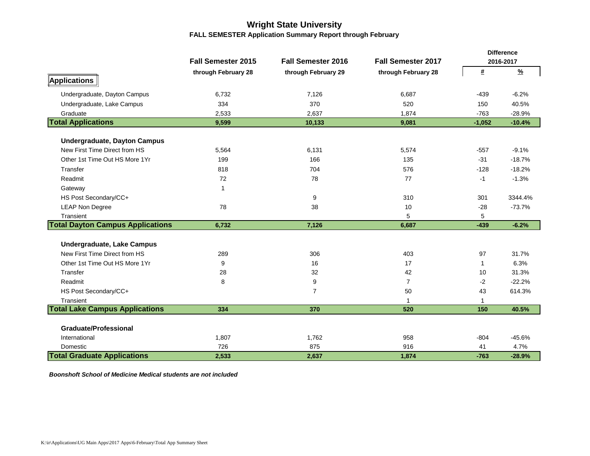# **Wright State University FALL SEMESTER Application Summary Report through February**

|                                         |                           |                           |                           |            | <b>Difference</b> |
|-----------------------------------------|---------------------------|---------------------------|---------------------------|------------|-------------------|
|                                         | <b>Fall Semester 2015</b> | <b>Fall Semester 2016</b> | <b>Fall Semester 2017</b> |            | 2016-2017         |
|                                         | through February 28       | through February 29       | through February 28       | $\pmb{\#}$ | $\frac{9}{6}$     |
| Applications                            |                           |                           |                           |            |                   |
| Undergraduate, Dayton Campus            | 6,732                     | 7,126                     | 6,687                     | $-439$     | $-6.2%$           |
| Undergraduate, Lake Campus              | 334                       | 370                       | 520                       | 150        | 40.5%             |
| Graduate                                | 2,533                     | 2,637                     | 1,874                     | $-763$     | $-28.9%$          |
| <b>Total Applications</b>               | 9,599                     | 10,133                    | 9,081                     | $-1,052$   | $-10.4%$          |
|                                         |                           |                           |                           |            |                   |
| <b>Undergraduate, Dayton Campus</b>     |                           |                           |                           |            |                   |
| New First Time Direct from HS           | 5,564                     | 6,131                     | 5,574                     | $-557$     | $-9.1%$           |
| Other 1st Time Out HS More 1Yr          | 199                       | 166                       | 135                       | $-31$      | $-18.7%$          |
| Transfer                                | 818                       | 704                       | 576                       | $-128$     | $-18.2%$          |
| Readmit                                 | 72                        | 78                        | 77                        | -1         | $-1.3%$           |
| Gateway                                 | $\mathbf{1}$              |                           |                           |            |                   |
| HS Post Secondary/CC+                   |                           | 9                         | 310                       | 301        | 3344.4%           |
| <b>LEAP Non Degree</b>                  | 78                        | 38                        | 10                        | $-28$      | $-73.7%$          |
| Transient                               |                           |                           | 5                         | 5          |                   |
| <b>Total Dayton Campus Applications</b> | 6,732                     | 7,126                     | 6,687                     | $-439$     | $-6.2%$           |
| Undergraduate, Lake Campus              |                           |                           |                           |            |                   |
| New First Time Direct from HS           | 289                       | 306                       | 403                       | 97         | 31.7%             |
| Other 1st Time Out HS More 1Yr          | 9                         | 16                        | 17                        | 1          | 6.3%              |
| Transfer                                | 28                        | 32                        | 42                        | 10         | 31.3%             |
| Readmit                                 | 8                         | 9                         | $\overline{7}$            | $-2$       | $-22.2%$          |
| HS Post Secondary/CC+                   |                           | $\overline{7}$            | 50                        | 43         | 614.3%            |
| Transient                               |                           |                           | $\mathbf{1}$              | 1          |                   |
| <b>Total Lake Campus Applications</b>   | 334                       | 370                       | 520                       | 150        | 40.5%             |
|                                         |                           |                           |                           |            |                   |
| <b>Graduate/Professional</b>            |                           |                           |                           |            |                   |
| International                           | 1,807                     | 1,762                     | 958                       | $-804$     | $-45.6%$          |
| Domestic                                | 726                       | 875                       | 916                       | 41         | 4.7%              |
| <b>Total Graduate Applications</b>      | 2,533                     | 2,637                     | 1,874                     | $-763$     | $-28.9%$          |

*Boonshoft School of Medicine Medical students are not included*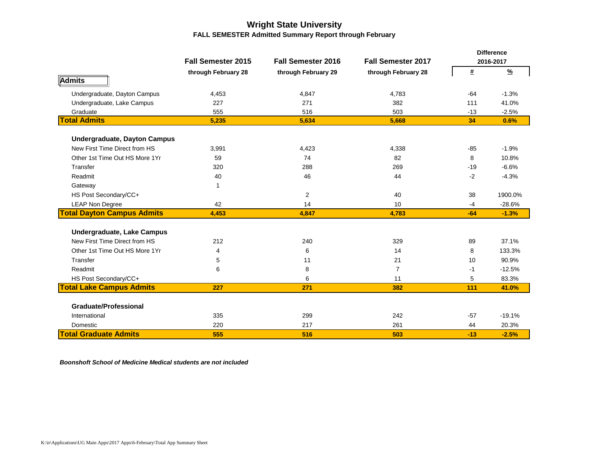## **Wright State University FALL SEMESTER Admitted Summary Report through February**

|                                     |                           |                           |                           |            | <b>Difference</b> |
|-------------------------------------|---------------------------|---------------------------|---------------------------|------------|-------------------|
|                                     | <b>Fall Semester 2015</b> | <b>Fall Semester 2016</b> | <b>Fall Semester 2017</b> |            | 2016-2017         |
|                                     | through February 28       | through February 29       | through February 28       | $\pmb{\#}$ | $\frac{9}{6}$     |
| Admits                              |                           |                           |                           |            |                   |
| Undergraduate, Dayton Campus        | 4,453                     | 4,847                     | 4,783                     | $-64$      | $-1.3%$           |
| Undergraduate, Lake Campus          | 227                       | 271                       | 382                       | 111        | 41.0%             |
| Graduate                            | 555                       | 516                       | 503                       | $-13$      | $-2.5%$           |
| <b>Total Admits</b>                 | 5,235                     | 5,634                     | 5,668                     | 34         | 0.6%              |
| <b>Undergraduate, Dayton Campus</b> |                           |                           |                           |            |                   |
| New First Time Direct from HS       | 3,991                     | 4,423                     | 4,338                     | $-85$      | $-1.9%$           |
| Other 1st Time Out HS More 1Yr      | 59                        | 74                        | 82                        | 8          | 10.8%             |
| Transfer                            | 320                       | 288                       | 269                       | $-19$      | $-6.6%$           |
| Readmit                             | 40                        | 46                        | 44                        | $-2$       | $-4.3%$           |
| Gateway                             | 1                         |                           |                           |            |                   |
| HS Post Secondary/CC+               |                           | $\overline{c}$            | 40                        | 38         | 1900.0%           |
| <b>LEAP Non Degree</b>              | 42                        | 14                        | 10                        | $-4$       | $-28.6%$          |
| <b>Total Dayton Campus Admits</b>   | 4,453                     | 4,847                     | 4,783                     | $-64$      | $-1.3%$           |
| Undergraduate, Lake Campus          |                           |                           |                           |            |                   |
| New First Time Direct from HS       | 212                       | 240                       | 329                       | 89         | 37.1%             |
| Other 1st Time Out HS More 1Yr      | $\overline{4}$            | 6                         | 14                        | 8          | 133.3%            |
| Transfer                            | 5                         | 11                        | 21                        | 10         | 90.9%             |
| Readmit                             | 6                         | 8                         | 7                         | $-1$       | $-12.5%$          |
| HS Post Secondary/CC+               |                           | 6                         | 11                        | 5          | 83.3%             |
| <b>Total Lake Campus Admits</b>     | 227                       | 271                       | 382                       | 111        | 41.0%             |
|                                     |                           |                           |                           |            |                   |
| <b>Graduate/Professional</b>        |                           |                           |                           |            |                   |
| International                       | 335                       | 299                       | 242                       | $-57$      | $-19.1%$          |
| Domestic                            | 220                       | 217                       | 261                       | 44         | 20.3%             |
| <b>Total Graduate Admits</b>        | 555                       | 516                       | 503                       | $-13$      | $-2.5%$           |

*Boonshoft School of Medicine Medical students are not included*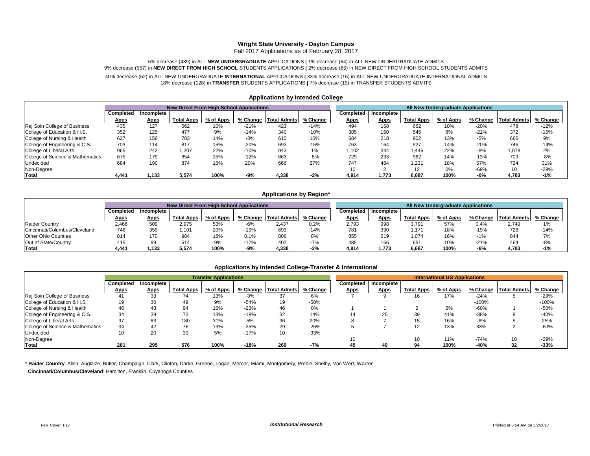#### **Wright State University - Dayton Campus**

Fall 2017 Applications as of February 28, 2017

#### 6% decrease (439) in ALL **NEW UNDERGRADUATE** APPLICATIONS **|** 1% decrease (64) in ALL NEW UNDERGRADUATE ADMITS 9% decrease (557) in **NEW DIRECT FROM HIGH SCHOOL** STUDENTS APPLICATIONS **|** 2% decrease (85) in NEW DIRECT FROM HIGH SCHOOL STUDENTS ADMITS

#### 40% decrease (62) in ALL NEW UNDERGRADUATE **INTERNATIONAL** APPLICATIONS **|** 33% decrease (16) in ALL NEW UNDERGRADUATE INTERNATIONAL ADMITS 18% decrease (128) in **TRANSFER** STUDENTS APPLICATIONS **|** 7% decrease (19) in TRANSFER STUDENTS ADMITS

|                                  |             |             | <b>New Direct From High School Applications</b> |           |          |                     |          |                  |             |                   | All New Undergraduate Applications |          |                 |          |
|----------------------------------|-------------|-------------|-------------------------------------------------|-----------|----------|---------------------|----------|------------------|-------------|-------------------|------------------------------------|----------|-----------------|----------|
|                                  | Completed   | Incomplete  |                                                 |           |          |                     |          | <b>Completed</b> | Incomplete  |                   |                                    |          |                 |          |
|                                  | <b>Apps</b> | <b>Apps</b> | <b>Total Apps</b>                               | % of Apps | % Change | <b>Total Admits</b> | % Change | <b>Apps</b>      | <b>Apps</b> | <b>Total Apps</b> | % of Apps                          | % Change | Total Admits    | % Change |
| Raj Soin College of Business     | 435         | 127         | 562                                             | 10%       | $-21%$   | 423                 | $-14%$   | 494              | 168         | 662               | 10%                                | $-20%$   | 478             | $-12%$   |
| College of Education & H.S.      | 352         | 125         | 477                                             | 9%        | $-14%$   | 340                 | $-10%$   | 385              | 160         | 545               | 8%                                 | $-21%$   | 372             | $-15%$   |
| College of Nursing & Health      | 627         | 156         | 783                                             | 14%       | $-3%$    | 610                 | 10%      | 684              | 218         | 902               | 13%                                | $-5%$    | 666             | 9%       |
| College of Engineering & C.S.    | 703         | 114         | 817                                             | 15%       | $-20%$   | 693                 | $-15%$   | 763              | 164         | 927               | 14%                                | $-20%$   | 746             | $-14%$   |
| College of Liberal Arts          | 965         | 242         | 1,207                                           | 22%       | $-10%$   | 943                 | 1%       | 1.102            | 344         | 1.446             | 22%                                | $-8%$    | 1,078           | 2%       |
| College of Science & Mathematics | 675         | 179         | 854                                             | 15%       | $-12%$   | 663                 | $-8%$    | 729              | 233         | 962               | 14%                                | $-13%$   | 709             | $-8%$    |
| <b>Undecided</b>                 | 684         | 190         | 874                                             | 16%       | 20%      | 666                 | 27%      | 747              | 484         | 1,231             | 18%                                | 57%      | 724             | 31%      |
| Non-Degree                       |             |             |                                                 |           |          |                     |          | 10               |             | $12 \overline{ }$ | 0%                                 | $-69%$   | 10 <sup>°</sup> | $-29%$   |
| <b>Total</b>                     | 4.441       | 1.133       | 5.574                                           | 100%      | $-9%$    | 4.338               | $-2%$    | 4,914            | 1.773       | 6.687             | 100%                               | $-6%$    | 4.783           | $-1%$    |

#### **Applications by Intended College**

#### **Applications by Region\***

|                               |                    | <b>New Direct From High School Applications</b> |                   |           |          |                         |           |                   |             |                   | All New Undergraduate Applications |        |                         |          |
|-------------------------------|--------------------|-------------------------------------------------|-------------------|-----------|----------|-------------------------|-----------|-------------------|-------------|-------------------|------------------------------------|--------|-------------------------|----------|
|                               | <b>Completed</b> I | Incomplete                                      |                   |           |          |                         | Completed | <b>Incomplete</b> |             |                   |                                    |        |                         |          |
|                               | <u>Apps</u>        | <b>Apps</b>                                     | <b>Total Apps</b> | % of Apps | % Change | Total Admits   % Change |           | <u>Apps</u>       | <b>Apps</b> | <b>Total Apps</b> | % of Apps                          |        | % Change   Total Admits | % Change |
| <b>Raider Country</b>         | 2.466              | 509                                             | 2,975             | 53%       | $-6%$    | 2.437                   | 0.2%      | 2.793             | 998         | 3.791             | 57%                                | ህ.4%   | 2.749                   | 1%       |
| Cincinnati/Columbus/Cleveland | 746                | 355                                             | ,101              | 20%       | $-19%$   | 693                     | $-14%$    | 781               | 390         | 171, ا            | 18%                                | $-19%$ | 726                     | $-14%$   |
| <b>Other Ohio Counties</b>    | 814                | 170                                             | 984               | 18%       | 0.1%     | 806                     | 8%        | 855               | 219         | 1,074             | 16%                                | $-1%$  | 844                     | 7%       |
| Out of State/Country          | 415                | 99                                              | 514               | 9%        | $-17%$   | 402                     | $-7%$     | 485               | 166         | 651               | 10%                                | $-21%$ | 464                     | $-8%$    |
| Total                         | 4.441              | 1.133                                           | 5.574             | 100%      | $-9%$    | 4.338                   | $-2%$     | 4.914             | 1.773       | 6,687             | 100%                               | -6%    | 4.783                   | $-1%$    |

#### **Applications by Intended College-Transfer & International**

|                                  |             | <b>Transfer Applications</b> |                   |           |        |                         |          |             |             |                   | <b>International UG Applications</b> |         |                         |          |
|----------------------------------|-------------|------------------------------|-------------------|-----------|--------|-------------------------|----------|-------------|-------------|-------------------|--------------------------------------|---------|-------------------------|----------|
|                                  | Completed   | Incomplete                   |                   |           |        |                         |          | Completed   | Incomplete  |                   |                                      |         |                         |          |
|                                  | <u>Apps</u> | <b>Apps</b>                  | <b>Total Apps</b> | % of Apps |        | % Change   Total Admits | % Change | <b>Apps</b> | <b>Apps</b> | <b>Total Apps</b> | % of Apps                            |         | % Change   Total Admits | % Change |
| Raj Soin College of Business     | 41          | 33                           | 74                | 13%       | $-3%$  | 37                      | 6%       |             |             | 16                | 17%                                  | $-24%$  |                         | $-29%$   |
| College of Education & H.S.      | 19          | 30                           | 49                | 9%        | $-54%$ | 19                      | -58%     |             |             |                   |                                      | $-100%$ |                         | $-100%$  |
| College of Nursing & Health      | 46          | 48                           | 94                | 16%       | $-23%$ | 46                      | 0%       |             |             |                   | 2%                                   | $-60%$  |                         | -50%     |
| College of Engineering & C.S.    | 34          | 39                           | 73                | 13%       | $-19%$ | 32                      | 14%      | 14          | 25          | 39                | 41%                                  | $-38%$  |                         | $-40%$   |
| College of Liberal Arts          | 97          | 83                           | 180               | 31%       | 5%     | 96                      | 20%      |             |             | 15<br>ιυ          | 16%                                  | -6%     |                         | 25%      |
| College of Science & Mathematics | 34          | 42                           | 76                | 13%       | $-25%$ | 29                      | $-26%$   |             |             | 12<br>14          | 13%                                  | 33%     |                         | $-60%$   |
| Undecided                        | 10          | 20                           | 30                | 5%        | $-17%$ | 10                      | $-33%$   |             |             |                   |                                      |         |                         |          |
| Non-Degree                       |             |                              |                   |           |        |                         |          | 10          |             | 10                | 11%                                  | $-74%$  | 10                      | $-29%$   |
| Total                            | 281         | 295                          | 576               | 100%      | $-18%$ | 269                     | $-7%$    | 45          | 49          | 94                | 100%                                 | -40%    | 32                      | $-33%$   |

\* **Raider Country**: Allen, Auglaize, Butler, Champaign, Clark, Clinton, Darke, Greene, Logan, Mercer, Miami, Montgomery, Preble, Shelby, Van Wert, Warren

 **Cincinnati/Columbus/Cleveland**: Hamilton, Franklin, Cuyahoga Counties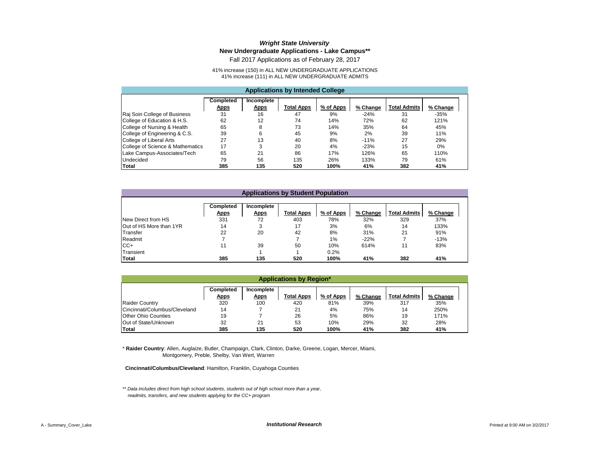### *Wright State University* **New Undergraduate Applications - Lake Campus\*\***

Fall 2017 Applications as of February 28, 2017

41% increase (150) in ALL NEW UNDERGRADUATE APPLICATIONS 41% increase (111) in ALL NEW UNDERGRADUATE ADMITS

| <b>Applications by Intended College</b> |                                 |                                  |            |           |          |                     |          |  |  |  |  |
|-----------------------------------------|---------------------------------|----------------------------------|------------|-----------|----------|---------------------|----------|--|--|--|--|
|                                         | <b>Completed</b><br><b>Apps</b> | <b>Incomplete</b><br><b>Apps</b> | Total Apps | % of Apps | % Change | <b>Total Admits</b> | % Change |  |  |  |  |
| Raj Soin College of Business            | 31                              | 16                               | 47         | 9%        | $-24%$   | 31                  | $-35%$   |  |  |  |  |
| College of Education & H.S.             | 62                              | 12                               | 74         | 14%       | 72%      | 62                  | 121%     |  |  |  |  |
| College of Nursing & Health             | 65                              | 8                                | 73         | 14%       | 35%      | 64                  | 45%      |  |  |  |  |
| College of Engineering & C.S.           | 39                              | 6                                | 45         | 9%        | 2%       | 39                  | 11%      |  |  |  |  |
| College of Liberal Arts                 | 27                              | 13                               | 40         | 8%        | $-11%$   | 27                  | 29%      |  |  |  |  |
| College of Science & Mathematics        | 17                              | 3                                | 20         | 4%        | $-23%$   | 15                  | $0\%$    |  |  |  |  |
| Lake Campus-Associates/Tech             | 65                              | 21                               | 86         | 17%       | 126%     | 65                  | 110%     |  |  |  |  |
| Undecided                               | 79                              | 56                               | 135        | 26%       | 133%     | 79                  | 61%      |  |  |  |  |
| Total                                   | 385                             | 135                              | 520        | 100%      | 41%      | 382                 | 41%      |  |  |  |  |

|                          | <b>Applications by Student Population</b> |             |                   |           |          |                     |          |  |  |  |  |  |
|--------------------------|-------------------------------------------|-------------|-------------------|-----------|----------|---------------------|----------|--|--|--|--|--|
|                          |                                           |             |                   |           |          |                     |          |  |  |  |  |  |
|                          | Completed                                 | Incomplete  |                   |           |          |                     |          |  |  |  |  |  |
|                          | <b>Apps</b>                               | <b>Apps</b> | <b>Total Apps</b> | % of Apps | % Change | <b>Total Admits</b> | % Change |  |  |  |  |  |
| New Direct from HS       | 331                                       | 72          | 403               | 78%       | 32%      | 329                 | 37%      |  |  |  |  |  |
| IOut of HS More than 1YR | 14                                        | 3           | 17                | 3%        | 6%       | 14                  | 133%     |  |  |  |  |  |
| Transfer                 | 22                                        | 20          | 42                | 8%        | 31%      | 21                  | 91%      |  |  |  |  |  |
| Readmit                  |                                           |             |                   | $1\%$     | $-22%$   |                     | $-13%$   |  |  |  |  |  |
| CC+                      | 11                                        | 39          | 50                | 10%       | 614%     | 11                  | 83%      |  |  |  |  |  |
| Transient                |                                           |             |                   | 0.2%      |          |                     |          |  |  |  |  |  |
| <b>Total</b>             | 385                                       | 135         | 520               | 100%      | 41%      | 382                 | 41%      |  |  |  |  |  |

| <b>Applications by Region*</b> |                          |                           |                   |           |          |                     |          |  |  |  |  |
|--------------------------------|--------------------------|---------------------------|-------------------|-----------|----------|---------------------|----------|--|--|--|--|
|                                | Completed<br><b>Apps</b> | Incomplete<br><b>Apps</b> | <b>Total Apps</b> | % of Apps | % Change | <b>Total Admits</b> | % Change |  |  |  |  |
| <b>Raider Country</b>          | 320                      | 100                       | 420               | 81%       | 39%      | 317                 | 35%      |  |  |  |  |
| Cincinnati/Columbus/Cleveland  | 14                       |                           | 21                | 4%        | 75%      | 14                  | 250%     |  |  |  |  |
| Other Ohio Counties            | 19                       |                           | 26                | 5%        | 86%      | 19                  | 171%     |  |  |  |  |
| Out of State/Unknown           | 32                       | 21                        | 53                | 10%       | 29%      | 32                  | 28%      |  |  |  |  |
| <b>Total</b>                   | 385                      | 135                       | 520               | 100%      | 41%      | 382                 | 41%      |  |  |  |  |

\* **Raider Country**: Allen, Auglaize, Butler, Champaign, Clark, Clinton, Darke, Greene, Logan, Mercer, Miami, Montgomery, Preble, Shelby, Van Wert, Warren

 **Cincinnati/Columbus/Cleveland**: Hamilton, Franklin, Cuyahoga Counties

*\*\* Data includes direct from high school students, students out of high school more than a year, readmits, transfers, and new students applying for the CC+ program*